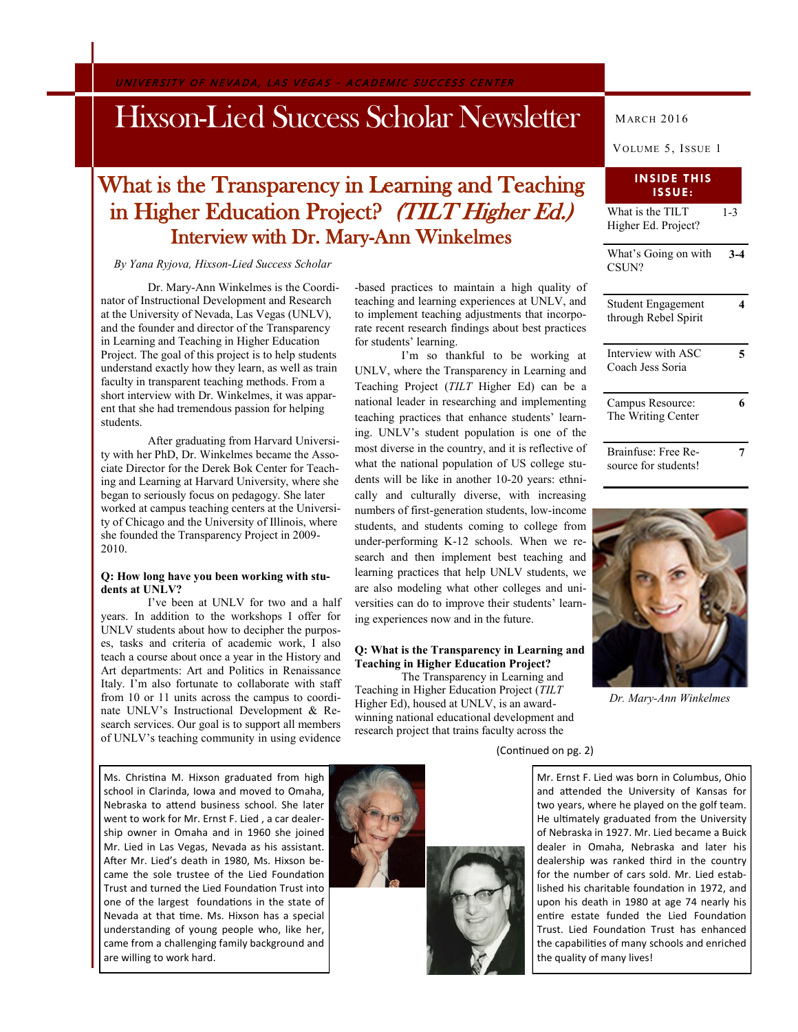UNIVERSITY OF NEVADA, LAS VEGAS - ACADEMIC SUCCESS CENTER

## Hixson-Lied Success Scholar Newsletter

## What is the Transparency in Learning and Teaching in Higher Education Project? (TILT Higher Ed.) Interview with Dr. Mary-Ann Winkelmes

## *By Yana Ryjova, Hixson-Lied Success Scholar*

Dr. Mary-Ann Winkelmes is the Coordinator of Instructional Development and Research at the University of Nevada, Las Vegas (UNLV), and the founder and director of the Transparency in Learning and Teaching in Higher Education Project. The goal of this project is to help students understand exactly how they learn, as well as train faculty in transparent teaching methods. From a short interview with Dr. Winkelmes, it was apparent that she had tremendous passion for helping students.

After graduating from Harvard University with her PhD, Dr. Winkelmes became the Associate Director for the Derek Bok Center for Teaching and Learning at Harvard University, where she began to seriously focus on pedagogy. She later worked at campus teaching centers at the University of Chicago and the University of Illinois, where she founded the Transparency Project in 2009- 2010.

### **Q: How long have you been working with students at UNLV?**

I've been at UNLV for two and a half years. In addition to the workshops I offer for UNLV students about how to decipher the purposes, tasks and criteria of academic work, I also teach a course about once a year in the History and Art departments: Art and Politics in Renaissance Italy. I'm also fortunate to collaborate with staff from 10 or 11 units across the campus to coordinate UNLV's Instructional Development & Research services. Our goal is to support all members of UNLV's teaching community in using evidence

Ms. Christina M. Hixson graduated from high school in Clarinda, Iowa and moved to Omaha, Nebraska to attend business school. She later went to work for Mr. Ernst F. Lied , a car dealership owner in Omaha and in 1960 she joined Mr. Lied in Las Vegas, Nevada as his assistant. After Mr. Lied's death in 1980, Ms. Hixson became the sole trustee of the Lied Foundation Trust and turned the Lied Foundation Trust into one of the largest foundations in the state of Nevada at that time. Ms. Hixson has a special understanding of young people who, like her, came from a challenging family background and are willing to work hard.

-based practices to maintain a high quality of teaching and learning experiences at UNLV, and to implement teaching adjustments that incorporate recent research findings about best practices for students' learning.

I'm so thankful to be working at UNLV, where the Transparency in Learning and Teaching Project (*TILT* Higher Ed) can be a national leader in researching and implementing teaching practices that enhance students' learning. UNLV's student population is one of the most diverse in the country, and it is reflective of what the national population of US college students will be like in another 10-20 years: ethnically and culturally diverse, with increasing numbers of first-generation students, low-income students, and students coming to college from under-performing K-12 schools. When we research and then implement best teaching and learning practices that help UNLV students, we are also modeling what other colleges and universities can do to improve their students' learning experiences now and in the future.

## **Q: What is the Transparency in Learning and Teaching in Higher Education Project?**

The Transparency in Learning and Teaching in Higher Education Project (*TILT*  Higher Ed), housed at UNLV, is an awardwinning national educational development and research project that trains faculty across the

## (Continued on pg. 2)

Mr. Ernst F. Lied was born in Columbus, Ohio and attended the University of Kansas for two years, where he played on the golf team. He ultimately graduated from the University of Nebraska in 1927. Mr. Lied became a Buick dealer in Omaha, Nebraska and later his dealership was ranked third in the country for the number of cars sold. Mr. Lied established his charitable foundation in 1972, and upon his death in 1980 at age 74 nearly his entire estate funded the Lied Foundation Trust. Lied Foundation Trust has enhanced the capabilities of many schools and enriched the quality of many lives!

What is the TILT Higher Ed. Project? What's Going on with **3-4 ISSUE:**

CSUN? Student Engagement through Rebel Spirit **4**

| Interview with ASC<br>Coach Jess Soria |  |
|----------------------------------------|--|
| Campus Resource:<br>The Writing Center |  |
| Brainfuse: Free Re-                    |  |

source for students!



*Dr. Mary-Ann Winkelmes*



MARCH 2016

## **INSIDE THIS**

 $\overline{1}$ -3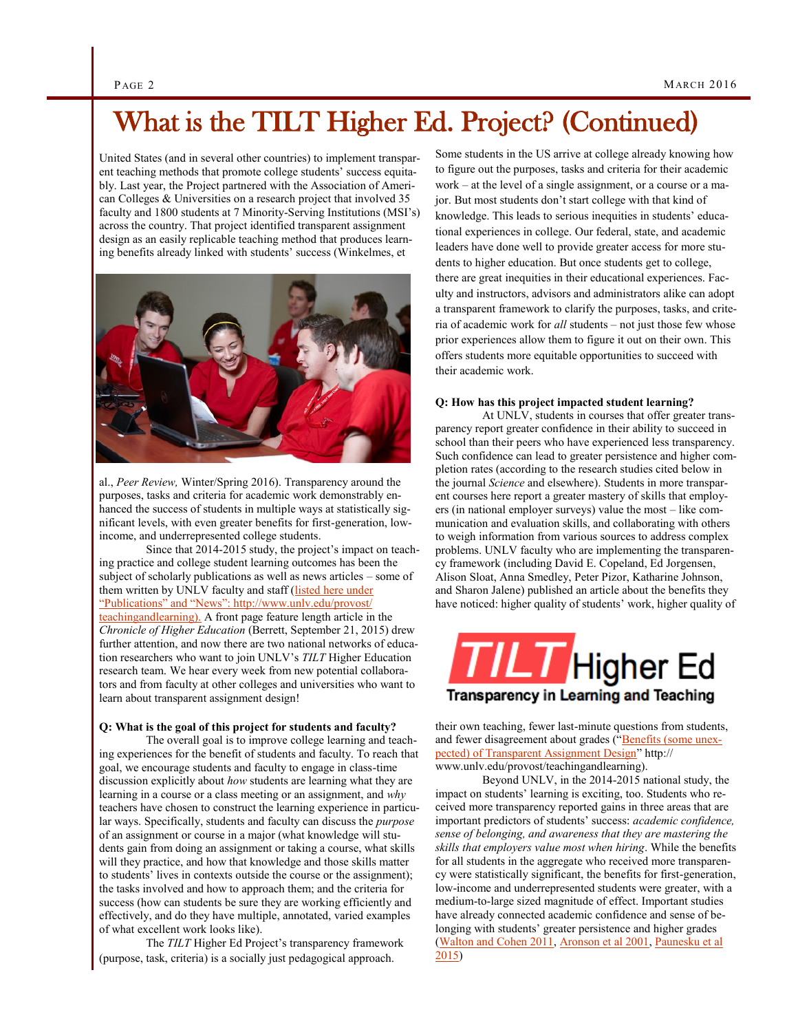## What is the TILT Higher Ed. Project? (Continued)

United States (and in several other countries) to implement transparent teaching methods that promote college students' success equitably. Last year, the Project partnered with the Association of American Colleges & Universities on a research project that involved 35 faculty and 1800 students at 7 Minority-Serving Institutions (MSI's) across the country. That project identified transparent assignment design as an easily replicable teaching method that produces learning benefits already linked with students' success (Winkelmes, et



al., *Peer Review,* Winter/Spring 2016). Transparency around the purposes, tasks and criteria for academic work demonstrably enhanced the success of students in multiple ways at statistically significant levels, with even greater benefits for first-generation, lowincome, and underrepresented college students.

Since that 2014-2015 study, the project's impact on teaching practice and college student learning outcomes has been the subject of scholarly publications as well as news articles – some of them written by UNLV faculty and staff (listed here under ["Publications" and "News": http://www.unlv.edu/provost/](file:///C:/Users/Testing/Documents/Academic%20Transitions%20GA/Spring%202016/Mar%202016/listed%20here%20under%20“Publications”%20and%20“News”:%20http:/www.unlv.edu/provost/teachingandlearning).) [teachingandlearning\).](file:///C:/Users/Testing/Documents/Academic%20Transitions%20GA/Spring%202016/Mar%202016/listed%20here%20under%20“Publications”%20and%20“News”:%20http:/www.unlv.edu/provost/teachingandlearning).) A front page feature length article in the *Chronicle of Higher Education* (Berrett, September 21, 2015) drew further attention, and now there are two national networks of education researchers who want to join UNLV's *TILT* Higher Education research team. We hear every week from new potential collaborators and from faculty at other colleges and universities who want to learn about transparent assignment design!

### **Q: What is the goal of this project for students and faculty?**

The overall goal is to improve college learning and teaching experiences for the benefit of students and faculty. To reach that goal, we encourage students and faculty to engage in class-time discussion explicitly about *how* students are learning what they are learning in a course or a class meeting or an assignment, and *why* teachers have chosen to construct the learning experience in particular ways. Specifically, students and faculty can discuss the *purpose* of an assignment or course in a major (what knowledge will students gain from doing an assignment or taking a course, what skills will they practice, and how that knowledge and those skills matter to students' lives in contexts outside the course or the assignment); the tasks involved and how to approach them; and the criteria for success (how can students be sure they are working efficiently and effectively, and do they have multiple, annotated, varied examples of what excellent work looks like).

The *TILT* Higher Ed Project's transparency framework (purpose, task, criteria) is a socially just pedagogical approach.

Some students in the US arrive at college already knowing how to figure out the purposes, tasks and criteria for their academic work – at the level of a single assignment, or a course or a major. But most students don't start college with that kind of knowledge. This leads to serious inequities in students' educational experiences in college. Our federal, state, and academic leaders have done well to provide greater access for more students to higher education. But once students get to college, there are great inequities in their educational experiences. Faculty and instructors, advisors and administrators alike can adopt a transparent framework to clarify the purposes, tasks, and criteria of academic work for *all* students – not just those few whose prior experiences allow them to figure it out on their own. This offers students more equitable opportunities to succeed with their academic work.

### **Q: How has this project impacted student learning?**

At UNLV, students in courses that offer greater transparency report greater confidence in their ability to succeed in school than their peers who have experienced less transparency. Such confidence can lead to greater persistence and higher completion rates (according to the research studies cited below in the journal *Science* and elsewhere). Students in more transparent courses here report a greater mastery of skills that employers (in national employer surveys) value the most – like communication and evaluation skills, and collaborating with others to weigh information from various sources to address complex problems. UNLV faculty who are implementing the transparency framework (including David E. Copeland, Ed Jorgensen, Alison Sloat, Anna Smedley, Peter Pizor, Katharine Johnson, and Sharon Jalene) published an article about the benefits they have noticed: higher quality of students' work, higher quality of

# Higher Ed Transparency in Learning and Teaching

their own teaching, fewer last-minute questions from students, and fewer disagreement about grades (["Benefits \(some unex](http://www.unlv.edu/sites/default/files/page_files/164/NTLF24_4_WOL.pdf)[pected\) of Transparent Assignment Design"](http://www.unlv.edu/sites/default/files/page_files/164/NTLF24_4_WOL.pdf) http:// www.unlv.edu/provost/teachingandlearning).

Beyond UNLV, in the 2014-2015 national study, the impact on students' learning is exciting, too. Students who received more transparency reported gains in three areas that are important predictors of students' success: *academic confidence, sense of belonging, and awareness that they are mastering the skills that employers value most when hiring*. While the benefits for all students in the aggregate who received more transparency were statistically significant, the benefits for first-generation, low-income and underrepresented students were greater, with a medium-to-large sized magnitude of effect. Important studies have already connected academic confidence and sense of belonging with students' greater persistence and higher grades [\(Walton and Cohen 2011,](http://science.sciencemag.org/content/331/6023/1447) [Aronson et al 2001,](http://www.foothill.edu/attach/1474/views_of_intelligence.pdf) [Paunesku et al](http://pss.sagepub.com/content/26/6/784)  [2015\)](http://pss.sagepub.com/content/26/6/784)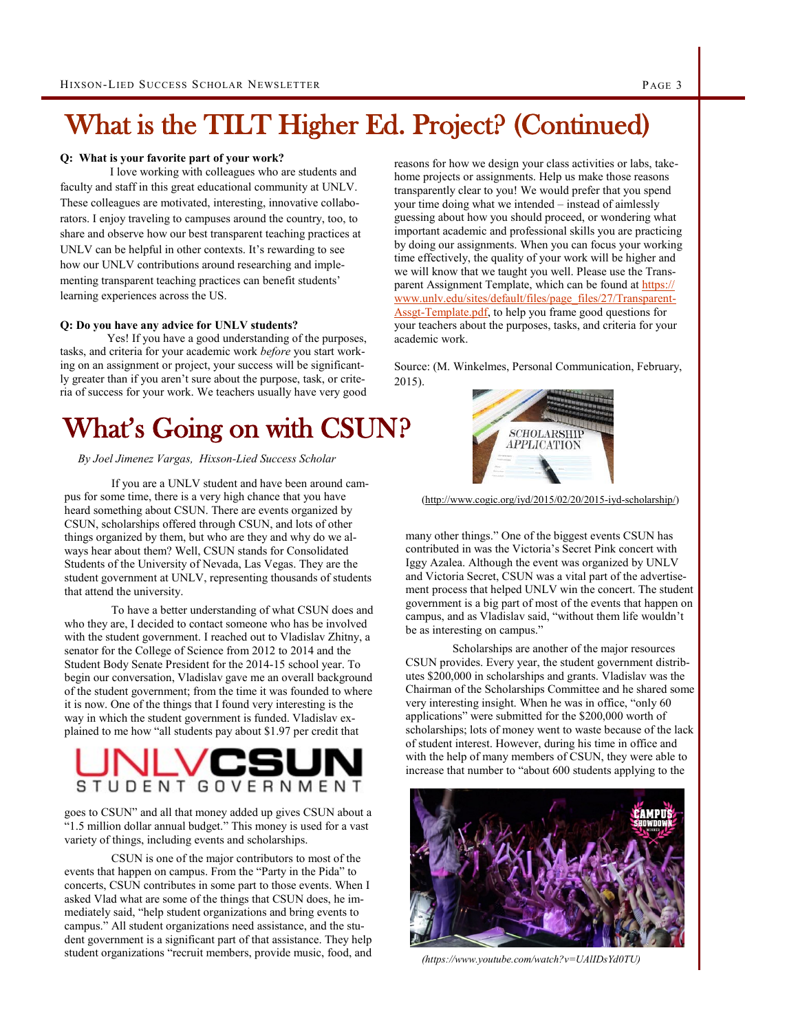# What is the TILT Higher Ed. Project? (Continued)

## **Q: What is your favorite part of your work?**

I love working with colleagues who are students and faculty and staff in this great educational community at UNLV. These colleagues are motivated, interesting, innovative collaborators. I enjoy traveling to campuses around the country, too, to share and observe how our best transparent teaching practices at UNLV can be helpful in other contexts. It's rewarding to see how our UNLV contributions around researching and implementing transparent teaching practices can benefit students' learning experiences across the US.

### **Q: Do you have any advice for UNLV students?**

Yes! If you have a good understanding of the purposes, tasks, and criteria for your academic work *before* you start working on an assignment or project, your success will be significantly greater than if you aren't sure about the purpose, task, or criteria of success for your work. We teachers usually have very good

## What's Going on with CSUN?

## *By Joel Jimenez Vargas, Hixson-Lied Success Scholar*

If you are a UNLV student and have been around campus for some time, there is a very high chance that you have heard something about CSUN. There are events organized by CSUN, scholarships offered through CSUN, and lots of other things organized by them, but who are they and why do we always hear about them? Well, CSUN stands for Consolidated Students of the University of Nevada, Las Vegas. They are the student government at UNLV, representing thousands of students that attend the university.

To have a better understanding of what CSUN does and who they are, I decided to contact someone who has be involved with the student government. I reached out to Vladislav Zhitny, a senator for the College of Science from 2012 to 2014 and the Student Body Senate President for the 2014-15 school year. To begin our conversation, Vladislav gave me an overall background of the student government; from the time it was founded to where it is now. One of the things that I found very interesting is the way in which the student government is funded. Vladislav explained to me how "all students pay about \$1.97 per credit that



goes to CSUN" and all that money added up gives CSUN about a "1.5 million dollar annual budget." This money is used for a vast variety of things, including events and scholarships.

CSUN is one of the major contributors to most of the events that happen on campus. From the "Party in the Pida" to concerts, CSUN contributes in some part to those events. When I asked Vlad what are some of the things that CSUN does, he immediately said, "help student organizations and bring events to campus." All student organizations need assistance, and the student government is a significant part of that assistance. They help student organizations "recruit members, provide music, food, and reasons for how we design your class activities or labs, takehome projects or assignments. Help us make those reasons transparently clear to you! We would prefer that you spend your time doing what we intended – instead of aimlessly guessing about how you should proceed, or wondering what important academic and professional skills you are practicing by doing our assignments. When you can focus your working time effectively, the quality of your work will be higher and we will know that we taught you well. Please use the Transparent Assignment Template, which can be found at [https://](https://www.unlv.edu/sites/default/files/page_files/27/Transparent-Assgt-Template.pdf) [www.unlv.edu/sites/default/files/page\\_files/27/Transparent](https://www.unlv.edu/sites/default/files/page_files/27/Transparent-Assgt-Template.pdf)-Assgt-[Template.pdf,](https://www.unlv.edu/sites/default/files/page_files/27/Transparent-Assgt-Template.pdf) to help you frame good questions for your teachers about the purposes, tasks, and criteria for your academic work.

Source: (M. Winkelmes, Personal Communication, February, 2015).



[\(http://www.cogic.org/iyd/2015/02/20/2015](http://www.cogic.org/iyd/2015/02/20/2015-iyd-scholarship/)-iyd-scholarship/)

many other things." One of the biggest events CSUN has contributed in was the Victoria's Secret Pink concert with Iggy Azalea. Although the event was organized by UNLV and Victoria Secret, CSUN was a vital part of the advertisement process that helped UNLV win the concert. The student government is a big part of most of the events that happen on campus, and as Vladislav said, "without them life wouldn't be as interesting on campus."

Scholarships are another of the major resources CSUN provides. Every year, the student government distributes \$200,000 in scholarships and grants. Vladislav was the Chairman of the Scholarships Committee and he shared some very interesting insight. When he was in office, "only 60 applications" were submitted for the \$200,000 worth of scholarships; lots of money went to waste because of the lack of student interest. However, during his time in office and with the help of many members of CSUN, they were able to increase that number to "about 600 students applying to the



*(https://www.youtube.com/watch?v=UAlIDsYd0TU)*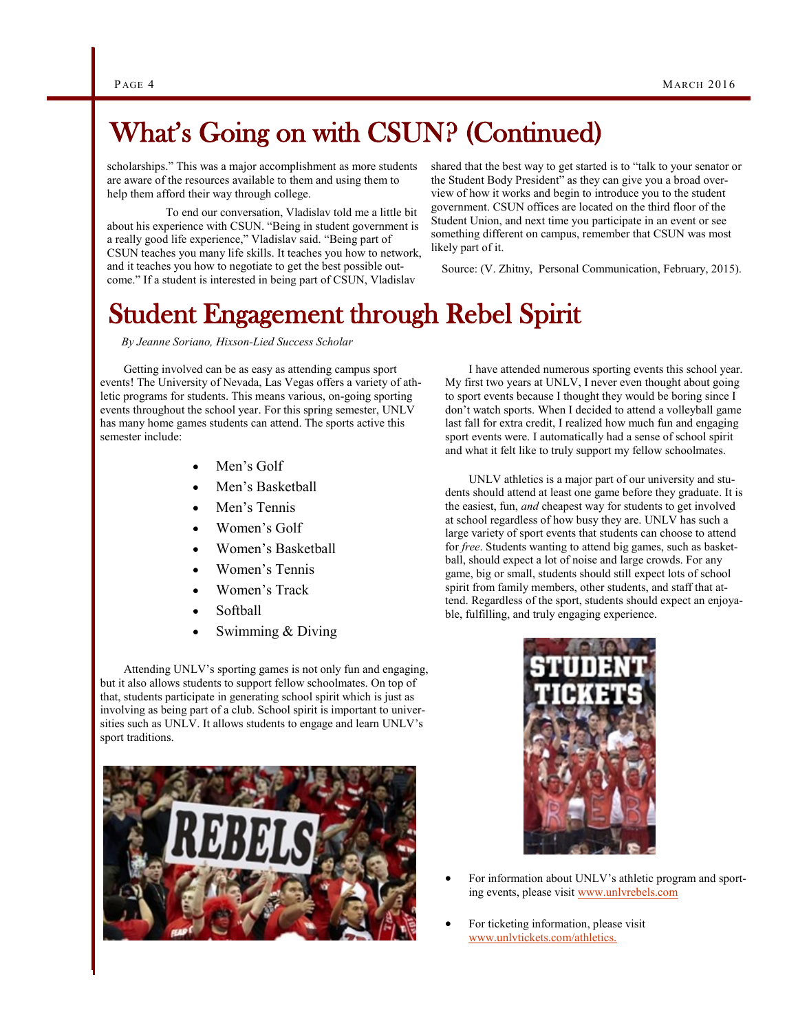## What's Going on with CSUN? (Continued)

scholarships." This was a major accomplishment as more students are aware of the resources available to them and using them to help them afford their way through college.

 To end our conversation, Vladislav told me a little bit about his experience with CSUN. "Being in student government is a really good life experience," Vladislav said. "Being part of CSUN teaches you many life skills. It teaches you how to network, and it teaches you how to negotiate to get the best possible outcome." If a student is interested in being part of CSUN, Vladislav

shared that the best way to get started is to "talk to your senator or the Student Body President" as they can give you a broad overview of how it works and begin to introduce you to the student government. CSUN offices are located on the third floor of the Student Union, and next time you participate in an event or see something different on campus, remember that CSUN was most likely part of it.

Source: (V. Zhitny, Personal Communication, February, 2015).

## Student Engagement through Rebel Spirit

*By Jeanne Soriano, Hixson-Lied Success Scholar*

Getting involved can be as easy as attending campus sport events! The University of Nevada, Las Vegas offers a variety of athletic programs for students. This means various, on-going sporting events throughout the school year. For this spring semester, UNLV has many home games students can attend. The sports active this semester include:

- Men's Golf
- Men's Basketball
- Men's Tennis
- Women's Golf
- Women's Basketball
- Women's Tennis
- Women's Track
- Softball
- Swimming & Diving

Attending UNLV's sporting games is not only fun and engaging, but it also allows students to support fellow schoolmates. On top of that, students participate in generating school spirit which is just as involving as being part of a club. School spirit is important to universities such as UNLV. It allows students to engage and learn UNLV's sport traditions.



I have attended numerous sporting events this school year. My first two years at UNLV, I never even thought about going to sport events because I thought they would be boring since I don't watch sports. When I decided to attend a volleyball game last fall for extra credit, I realized how much fun and engaging sport events were. I automatically had a sense of school spirit and what it felt like to truly support my fellow schoolmates.

UNLV athletics is a major part of our university and students should attend at least one game before they graduate. It is the easiest, fun, *and* cheapest way for students to get involved at school regardless of how busy they are. UNLV has such a large variety of sport events that students can choose to attend for *free*. Students wanting to attend big games, such as basketball, should expect a lot of noise and large crowds. For any game, big or small, students should still expect lots of school spirit from family members, other students, and staff that attend. Regardless of the sport, students should expect an enjoyable, fulfilling, and truly engaging experience.



- For information about UNLV's athletic program and sporting events, please visit www.unlvrebels.com
- For ticketing information, please visit www.unlvtickets.com/athletics.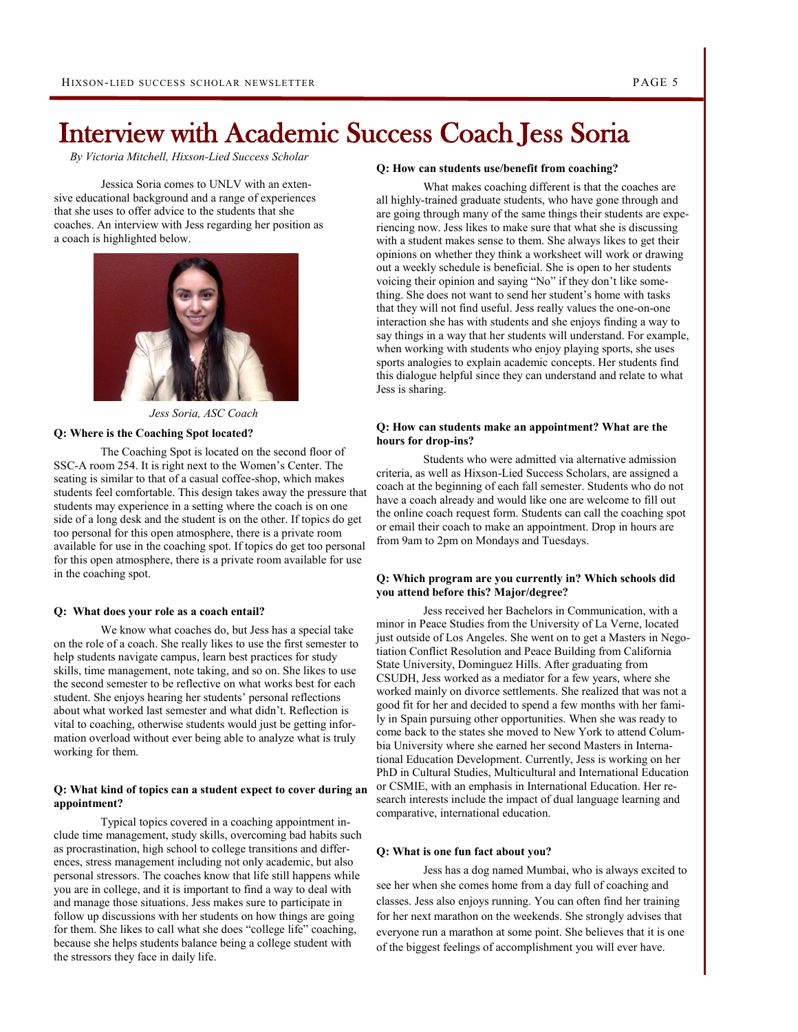## Interview with Academic Success Coach Jess Soria

*By Victoria Mitchell, Hixson-Lied Success Scholar*

Jessica Soria comes to UNLV with an extensive educational background and a range of experiences that she uses to offer advice to the students that she coaches. An interview with Jess regarding her position as a coach is highlighted below.



*Jess Soria, ASC Coach* 

### **Q: Where is the Coaching Spot located?**

The Coaching Spot is located on the second floor of SSC-A room 254. It is right next to the Women's Center. The seating is similar to that of a casual coffee-shop, which makes students feel comfortable. This design takes away the pressure that students may experience in a setting where the coach is on one side of a long desk and the student is on the other. If topics do get too personal for this open atmosphere, there is a private room available for use in the coaching spot. If topics do get too personal for this open atmosphere, there is a private room available for use in the coaching spot.

### **Q: What does your role as a coach entail?**

We know what coaches do, but Jess has a special take on the role of a coach. She really likes to use the first semester to help students navigate campus, learn best practices for study skills, time management, note taking, and so on. She likes to use the second semester to be reflective on what works best for each student. She enjoys hearing her students' personal reflections about what worked last semester and what didn't. Reflection is vital to coaching, otherwise students would just be getting information overload without ever being able to analyze what is truly working for them.

### **Q: What kind of topics can a student expect to cover during an appointment?**

Typical topics covered in a coaching appointment include time management, study skills, overcoming bad habits such as procrastination, high school to college transitions and differences, stress management including not only academic, but also personal stressors. The coaches know that life still happens while you are in college, and it is important to find a way to deal with and manage those situations. Jess makes sure to participate in follow up discussions with her students on how things are going for them. She likes to call what she does "college life" coaching, because she helps students balance being a college student with the stressors they face in daily life.

### **Q: How can students use/benefit from coaching?**

What makes coaching different is that the coaches are all highly-trained graduate students, who have gone through and are going through many of the same things their students are experiencing now. Jess likes to make sure that what she is discussing with a student makes sense to them. She always likes to get their opinions on whether they think a worksheet will work or drawing out a weekly schedule is beneficial. She is open to her students voicing their opinion and saying "No" if they don't like something. She does not want to send her student's home with tasks that they will not find useful. Jess really values the one-on-one interaction she has with students and she enjoys finding a way to say things in a way that her students will understand. For example, when working with students who enjoy playing sports, she uses sports analogies to explain academic concepts. Her students find this dialogue helpful since they can understand and relate to what Jess is sharing.

### **Q: How can students make an appointment? What are the hours for drop-ins?**

Students who were admitted via alternative admission criteria, as well as Hixson-Lied Success Scholars, are assigned a coach at the beginning of each fall semester. Students who do not have a coach already and would like one are welcome to fill out the online coach request form. Students can call the coaching spot or email their coach to make an appointment. Drop in hours are from 9am to 2pm on Mondays and Tuesdays.

## **Q: Which program are you currently in? Which schools did you attend before this? Major/degree?**

Jess received her Bachelors in Communication, with a minor in Peace Studies from the University of La Verne, located just outside of Los Angeles. She went on to get a Masters in Negotiation Conflict Resolution and Peace Building from California State University, Dominguez Hills. After graduating from CSUDH, Jess worked as a mediator for a few years, where she worked mainly on divorce settlements. She realized that was not a good fit for her and decided to spend a few months with her family in Spain pursuing other opportunities. When she was ready to come back to the states she moved to New York to attend Columbia University where she earned her second Masters in International Education Development. Currently, Jess is working on her PhD in Cultural Studies, Multicultural and International Education or CSMIE, with an emphasis in International Education. Her research interests include the impact of dual language learning and comparative, international education.

### **Q: What is one fun fact about you?**

Jess has a dog named Mumbai, who is always excited to see her when she comes home from a day full of coaching and classes. Jess also enjoys running. You can often find her training for her next marathon on the weekends. She strongly advises that everyone run a marathon at some point. She believes that it is one of the biggest feelings of accomplishment you will ever have.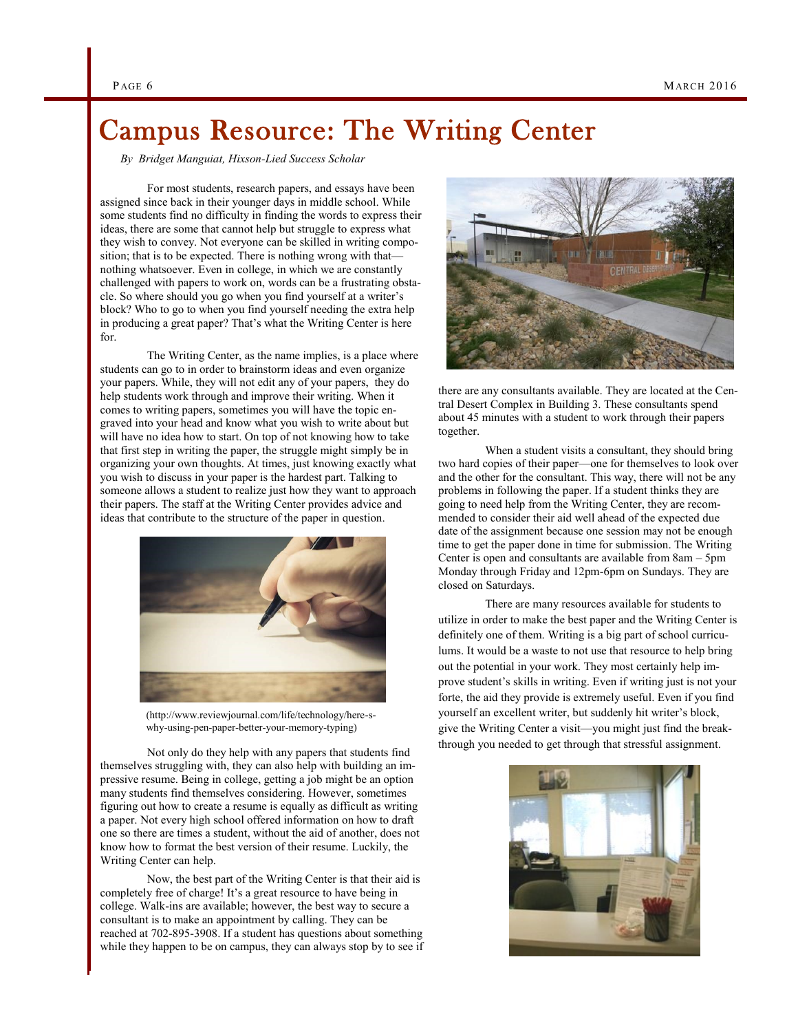## Campus Resource: The Writing Center

*By Bridget Manguiat, Hixson-Lied Success Scholar* 

For most students, research papers, and essays have been assigned since back in their younger days in middle school. While some students find no difficulty in finding the words to express their ideas, there are some that cannot help but struggle to express what they wish to convey. Not everyone can be skilled in writing composition; that is to be expected. There is nothing wrong with that nothing whatsoever. Even in college, in which we are constantly challenged with papers to work on, words can be a frustrating obstacle. So where should you go when you find yourself at a writer's block? Who to go to when you find yourself needing the extra help in producing a great paper? That's what the Writing Center is here for.

The Writing Center, as the name implies, is a place where students can go to in order to brainstorm ideas and even organize your papers. While, they will not edit any of your papers, they do help students work through and improve their writing. When it comes to writing papers, sometimes you will have the topic engraved into your head and know what you wish to write about but will have no idea how to start. On top of not knowing how to take that first step in writing the paper, the struggle might simply be in organizing your own thoughts. At times, just knowing exactly what you wish to discuss in your paper is the hardest part. Talking to someone allows a student to realize just how they want to approach their papers. The staff at the Writing Center provides advice and ideas that contribute to the structure of the paper in question.



(http://www.reviewjournal.com/life/technology/here-swhy-using-pen-paper-better-your-memory-typing)

Not only do they help with any papers that students find themselves struggling with, they can also help with building an impressive resume. Being in college, getting a job might be an option many students find themselves considering. However, sometimes figuring out how to create a resume is equally as difficult as writing a paper. Not every high school offered information on how to draft one so there are times a student, without the aid of another, does not know how to format the best version of their resume. Luckily, the Writing Center can help.

Now, the best part of the Writing Center is that their aid is completely free of charge! It's a great resource to have being in college. Walk-ins are available; however, the best way to secure a consultant is to make an appointment by calling. They can be reached at 702-895-3908. If a student has questions about something while they happen to be on campus, they can always stop by to see if



there are any consultants available. They are located at the Central Desert Complex in Building 3. These consultants spend about 45 minutes with a student to work through their papers together.

When a student visits a consultant, they should bring two hard copies of their paper—one for themselves to look over and the other for the consultant. This way, there will not be any problems in following the paper. If a student thinks they are going to need help from the Writing Center, they are recommended to consider their aid well ahead of the expected due date of the assignment because one session may not be enough time to get the paper done in time for submission. The Writing Center is open and consultants are available from 8am – 5pm Monday through Friday and 12pm-6pm on Sundays. They are closed on Saturdays.

There are many resources available for students to utilize in order to make the best paper and the Writing Center is definitely one of them. Writing is a big part of school curriculums. It would be a waste to not use that resource to help bring out the potential in your work. They most certainly help improve student's skills in writing. Even if writing just is not your forte, the aid they provide is extremely useful. Even if you find yourself an excellent writer, but suddenly hit writer's block, give the Writing Center a visit—you might just find the breakthrough you needed to get through that stressful assignment.